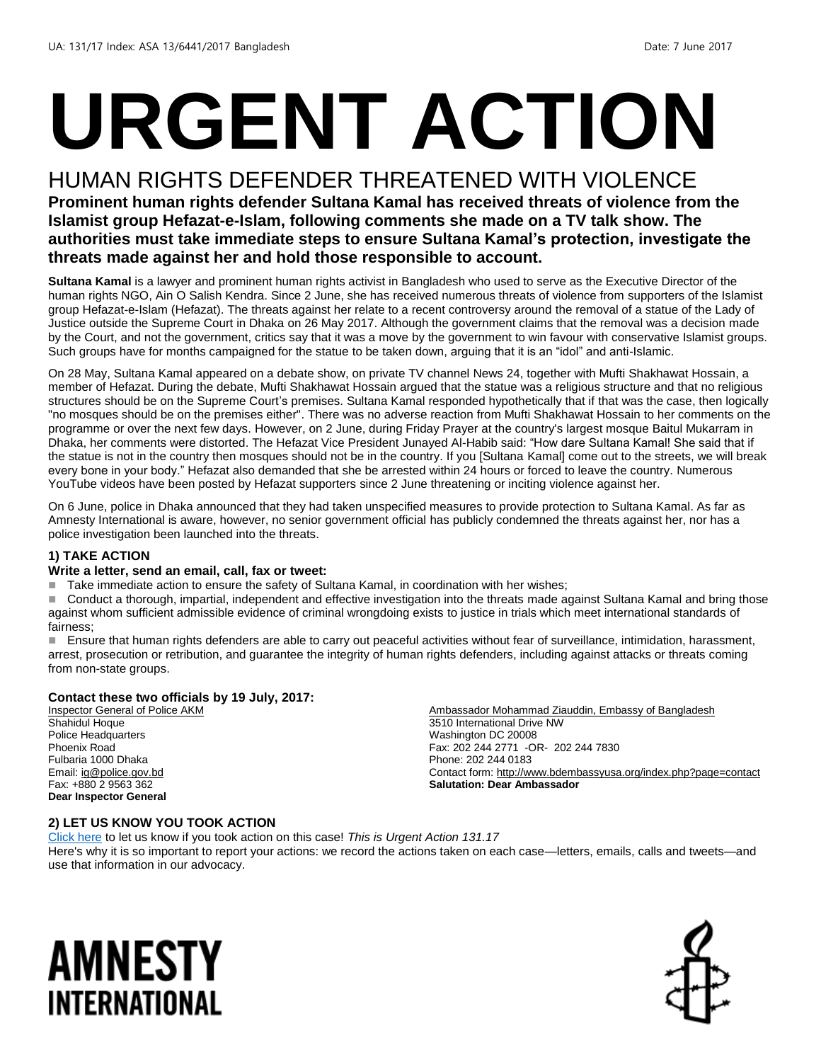# **URGENT ACTION**

#### HUMAN RIGHTS DEFENDER THREATENED WITH VIOLENCE

**Prominent human rights defender Sultana Kamal has received threats of violence from the Islamist group Hefazat-e-Islam, following comments she made on a TV talk show. The authorities must take immediate steps to ensure Sultana Kamal's protection, investigate the threats made against her and hold those responsible to account.**

**Sultana Kamal** is a lawyer and prominent human rights activist in Bangladesh who used to serve as the Executive Director of the human rights NGO, Ain O Salish Kendra. Since 2 June, she has received numerous threats of violence from supporters of the Islamist group Hefazat-e-Islam (Hefazat). The threats against her relate to a recent controversy around the removal of a statue of the Lady of Justice outside the Supreme Court in Dhaka on 26 May 2017. Although the government claims that the removal was a decision made by the Court, and not the government, critics say that it was a move by the government to win favour with conservative Islamist groups. Such groups have for months campaigned for the statue to be taken down, arguing that it is an "idol" and anti-Islamic.

On 28 May, Sultana Kamal appeared on a debate show, on private TV channel News 24, together with Mufti Shakhawat Hossain, a member of Hefazat. During the debate, Mufti Shakhawat Hossain argued that the statue was a religious structure and that no religious structures should be on the Supreme Court's premises. Sultana Kamal responded hypothetically that if that was the case, then logically "no mosques should be on the premises either". There was no adverse reaction from Mufti Shakhawat Hossain to her comments on the programme or over the next few days. However, on 2 June, during Friday Prayer at the country's largest mosque Baitul Mukarram in Dhaka, her comments were distorted. The Hefazat Vice President Junayed Al-Habib said: "How dare Sultana Kamal! She said that if the statue is not in the country then mosques should not be in the country. If you [Sultana Kamal] come out to the streets, we will break every bone in your body." Hefazat also demanded that she be arrested within 24 hours or forced to leave the country. Numerous YouTube videos have been posted by Hefazat supporters since 2 June threatening or inciting violence against her.

On 6 June, police in Dhaka announced that they had taken unspecified measures to provide protection to Sultana Kamal. As far as Amnesty International is aware, however, no senior government official has publicly condemned the threats against her, nor has a police investigation been launched into the threats.

#### **1) TAKE ACTION**

#### **Write a letter, send an email, call, fax or tweet:**

Take immediate action to ensure the safety of Sultana Kamal, in coordination with her wishes;

Conduct a thorough, impartial, independent and effective investigation into the threats made against Sultana Kamal and bring those against whom sufficient admissible evidence of criminal wrongdoing exists to justice in trials which meet international standards of fairness;

 Ensure that human rights defenders are able to carry out peaceful activities without fear of surveillance, intimidation, harassment, arrest, prosecution or retribution, and guarantee the integrity of human rights defenders, including against attacks or threats coming from non-state groups.

#### **Contact these two officials by 19 July, 2017:**

Inspector General of Police AKM Shahidul Hoque Police Headquarters Phoenix Road Fulbaria 1000 Dhaka Email[: ig@police.gov.bd](mailto:ig@police.gov.bd) Fax: +880 2 9563 362 **Dear Inspector General**

Ambassador Mohammad Ziauddin, Embassy of Bangladesh 3510 International Drive NW Washington DC 20008 Fax: 202 244 2771 -OR- 202 244 7830 Phone: 202 244 0183 Contact form[: http://www.bdembassyusa.org/index.php?page=contact](http://www.bdembassyusa.org/index.php?page=contact) **Salutation: Dear Ambassador**

#### **2) LET US KNOW YOU TOOK ACTION**

[Click here](https://docs.google.com/forms/d/e/1FAIpQLSf3RUspces4lA9Gt7Fp9GiAcojCs6fnfFOTCLli3Su6c3S8ew/viewform) to let us know if you took action on this case! *This is Urgent Action 131.17* Here's why it is so important to report your actions: we record the actions taken on each case—letters, emails, calls and tweets—and use that information in our advocacy.

### AMNESTY INTERNATIONAL